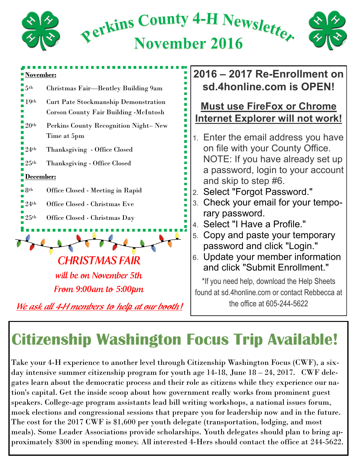

## **Citizenship Washington Focus Trip Available!**

Take your 4-H experience to another level through Citizenship Washington Focus (CWF), a sixday intensive summer citizenship program for youth age 14-18, June 18 – 24, 2017. CWF delegates learn about the democratic process and their role as citizens while they experience our nation's capital. Get the inside scoop about how government really works from prominent guest speakers. College-age program assistants lead bill writing workshops, a national issues forum, mock elections and congressional sessions that prepare you for leadership now and in the future. The cost for the 2017 CWF is \$1,600 per youth delegate (transportation, lodging, and most meals). Some Leader Associations provide scholarships. Youth delegates should plan to bring approximately \$300 in spending money. All interested 4-Hers should contact the office at 244-5622.